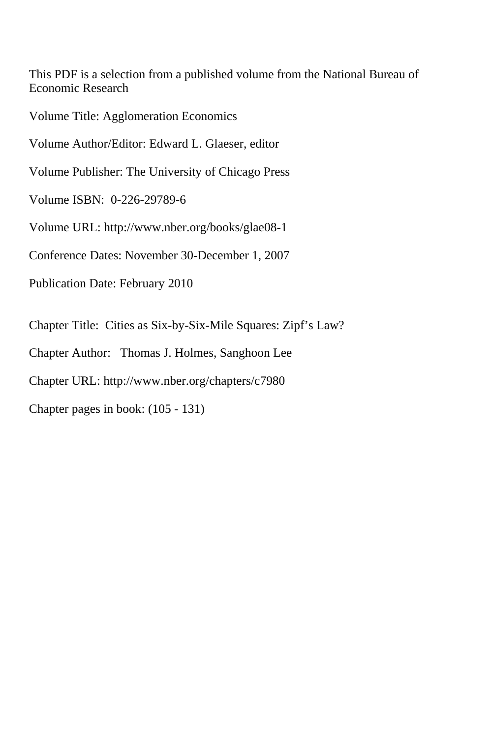This PDF is a selection from a published volume from the National Bureau of Economic Research

Volume Title: Agglomeration Economics

Volume Author/Editor: Edward L. Glaeser, editor

Volume Publisher: The University of Chicago Press

Volume ISBN: 0-226-29789-6

Volume URL: http://www.nber.org/books/glae08-1

Conference Dates: November 30-December 1, 2007

Publication Date: February 2010

Chapter Title: Cities as Six-by-Six-Mile Squares: Zipf's Law?

Chapter Author: Thomas J. Holmes, Sanghoon Lee

Chapter URL: http://www.nber.org/chapters/c7980

Chapter pages in book: (105 - 131)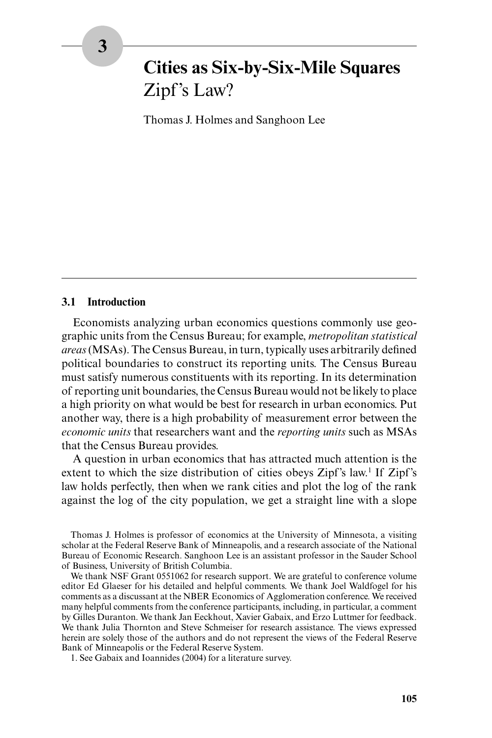# **Cities as Six-by-Six-Mile Squares** Zipf's Law?

Thomas J. Holmes and Sanghoon Lee

#### **3.1 Introduction**

Economists analyzing urban economics questions commonly use geographic units from the Census Bureau; for example, *metropolitan statistical*  areas (MSAs). The Census Bureau, in turn, typically uses arbitrarily defined political boundaries to construct its reporting units. The Census Bureau must satisfy numerous constituents with its reporting. In its determination of reporting unit boundaries, the Census Bureau would not be likely to place a high priority on what would be best for research in urban economics. Put another way, there is a high probability of measurement error between the *economic units* that researchers want and the *reporting units* such as MSAs that the Census Bureau provides.

A question in urban economics that has attracted much attention is the extent to which the size distribution of cities obeys Zipf's law.<sup>1</sup> If Zipf's law holds perfectly, then when we rank cities and plot the log of the rank against the log of the city population, we get a straight line with a slope

Thomas J. Holmes is professor of economics at the University of Minnesota, a visiting scholar at the Federal Reserve Bank of Minneapolis, and a research associate of the National Bureau of Economic Research. Sanghoon Lee is an assistant professor in the Sauder School of Business, University of British Columbia.

We thank NSF Grant 0551062 for research support. We are grateful to conference volume editor Ed Glaeser for his detailed and helpful comments. We thank Joel Waldfogel for his comments as a discussant at the NBER Economics of Agglomeration conference. We received many helpful comments from the conference participants, including, in particular, a comment by Gilles Duranton. We thank Jan Eeckhout, Xavier Gabaix, and Erzo Luttmer for feedback. We thank Julia Thornton and Steve Schmeiser for research assistance. The views expressed herein are solely those of the authors and do not represent the views of the Federal Reserve Bank of Minneapolis or the Federal Reserve System.

1. See Gabaix and Ioannides (2004) for a literature survey.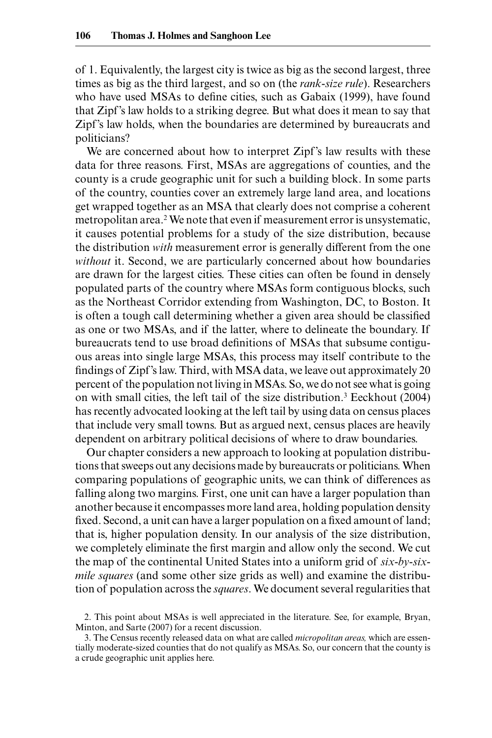of 1. Equivalently, the largest city is twice as big as the second largest, three times as big as the third largest, and so on (the *rank- size rule*). Researchers who have used MSAs to define cities, such as Gabaix (1999), have found that Zipf's law holds to a striking degree. But what does it mean to say that Zipf's law holds, when the boundaries are determined by bureaucrats and politicians?

We are concerned about how to interpret Zipf's law results with these data for three reasons. First, MSAs are aggregations of counties, and the county is a crude geographic unit for such a building block. In some parts of the country, counties cover an extremely large land area, and locations get wrapped together as an MSA that clearly does not comprise a coherent metropolitan area.<sup>2</sup> We note that even if measurement error is unsystematic, it causes potential problems for a study of the size distribution, because the distribution *with* measurement error is generally different from the one *without* it. Second, we are particularly concerned about how boundaries are drawn for the largest cities. These cities can often be found in densely populated parts of the country where MSAs form contiguous blocks, such as the Northeast Corridor extending from Washington, DC, to Boston. It is often a tough call determining whether a given area should be classified as one or two MSAs, and if the latter, where to delineate the boundary. If bureaucrats tend to use broad definitions of MSAs that subsume contiguous areas into single large MSAs, this process may itself contribute to the findings of Zipf's law. Third, with MSA data, we leave out approximately 20 percent of the population not living in MSAs. So, we do not see what is going on with small cities, the left tail of the size distribution.3 Eeckhout (2004) has recently advocated looking at the left tail by using data on census places that include very small towns. But as argued next, census places are heavily dependent on arbitrary political decisions of where to draw boundaries.

Our chapter considers a new approach to looking at population distributions that sweeps out any decisions made by bureaucrats or politicians. When comparing populations of geographic units, we can think of differences as falling along two margins. First, one unit can have a larger population than another because it encompasses more land area, holding population density fixed. Second, a unit can have a larger population on a fixed amount of land; that is, higher population density. In our analysis of the size distribution, we completely eliminate the first margin and allow only the second. We cut the map of the continental United States into a uniform grid of *six- by- sixmile squares* (and some other size grids as well) and examine the distribution of population across the *squares*. We document several regularities that

<sup>2.</sup> This point about MSAs is well appreciated in the literature. See, for example, Bryan, Minton, and Sarte (2007) for a recent discussion.

<sup>3.</sup> The Census recently released data on what are called *micropolitan areas,* which are essentially moderate- sized counties that do not qualify as MSAs. So, our concern that the county is a crude geographic unit applies here.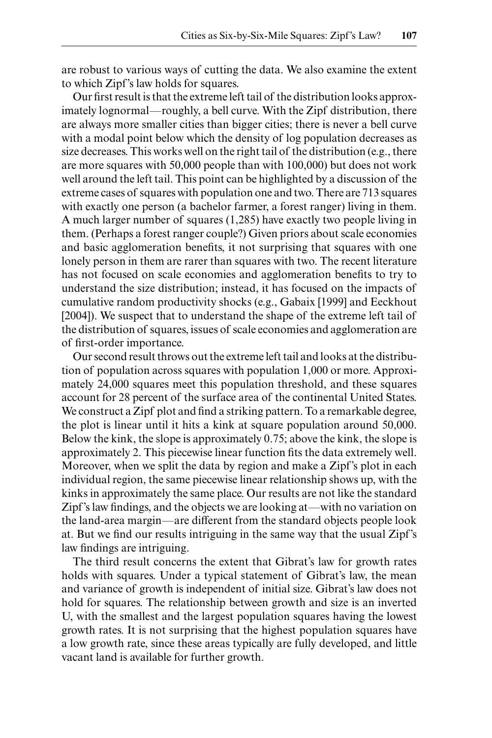are robust to various ways of cutting the data. We also examine the extent to which Zipf's law holds for squares.

Our first result is that the extreme left tail of the distribution looks approximately lognormal—roughly, a bell curve. With the Zipf distribution, there are always more smaller cities than bigger cities; there is never a bell curve with a modal point below which the density of log population decreases as size decreases. This works well on the right tail of the distribution (e.g., there are more squares with 50,000 people than with 100,000) but does not work well around the left tail. This point can be highlighted by a discussion of the extreme cases of squares with population one and two. There are 713 squares with exactly one person (a bachelor farmer, a forest ranger) living in them. A much larger number of squares (1,285) have exactly two people living in them. (Perhaps a forest ranger couple?) Given priors about scale economies and basic agglomeration benefits, it not surprising that squares with one lonely person in them are rarer than squares with two. The recent literature has not focused on scale economies and agglomeration benefits to try to understand the size distribution; instead, it has focused on the impacts of cumulative random productivity shocks (e.g., Gabaix [1999] and Eeckhout [2004]). We suspect that to understand the shape of the extreme left tail of the distribution of squares, issues of scale economies and agglomeration are of first-order importance.

Our second result throws out the extreme left tail and looks at the distribution of population across squares with population 1,000 or more. Approximately 24,000 squares meet this population threshold, and these squares account for 28 percent of the surface area of the continental United States. We construct a Zipf plot and find a striking pattern. To a remarkable degree, the plot is linear until it hits a kink at square population around 50,000. Below the kink, the slope is approximately 0.75; above the kink, the slope is approximately 2. This piecewise linear function fits the data extremely well. Moreover, when we split the data by region and make a Zipf's plot in each individual region, the same piecewise linear relationship shows up, with the kinks in approximately the same place. Our results are not like the standard Zipf's law findings, and the objects we are looking at—with no variation on the land- area margin—are different from the standard objects people look at. But we find our results intriguing in the same way that the usual Zipf's law findings are intriguing.

The third result concerns the extent that Gibrat's law for growth rates holds with squares. Under a typical statement of Gibrat's law, the mean and variance of growth is independent of initial size. Gibrat's law does not hold for squares. The relationship between growth and size is an inverted U, with the smallest and the largest population squares having the lowest growth rates. It is not surprising that the highest population squares have a low growth rate, since these areas typically are fully developed, and little vacant land is available for further growth.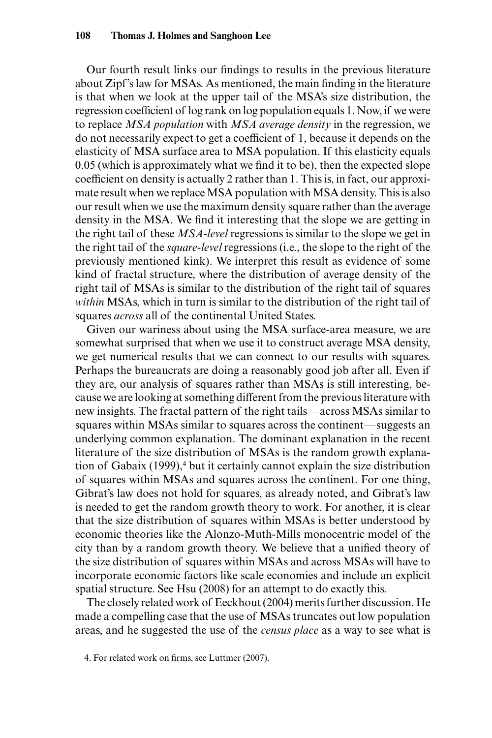Our fourth result links our findings to results in the previous literature about Zipf's law for MSAs. As mentioned, the main finding in the literature is that when we look at the upper tail of the MSA's size distribution, the regression coefficient of log rank on log population equals 1. Now, if we were to replace *MSA population* with *MSA average density* in the regression, we do not necessarily expect to get a coefficient of 1, because it depends on the elasticity of MSA surface area to MSA population. If this elasticity equals  $0.05$  (which is approximately what we find it to be), then the expected slope coefficient on density is actually 2 rather than 1. This is, in fact, our approximate result when we replace MSA population with MSA density. This is also our result when we use the maximum density square rather than the average density in the MSA. We find it interesting that the slope we are getting in the right tail of these *MSA- level* regressions is similar to the slope we get in the right tail of the *square- level* regressions (i.e., the slope to the right of the previously mentioned kink). We interpret this result as evidence of some kind of fractal structure, where the distribution of average density of the right tail of MSAs is similar to the distribution of the right tail of squares *within* MSAs, which in turn is similar to the distribution of the right tail of squares *across* all of the continental United States.

Given our wariness about using the MSA surface- area measure, we are somewhat surprised that when we use it to construct average MSA density, we get numerical results that we can connect to our results with squares. Perhaps the bureaucrats are doing a reasonably good job after all. Even if they are, our analysis of squares rather than MSAs is still interesting, because we are looking at something different from the previous literature with new insights. The fractal pattern of the right tails—across MSAs similar to squares within MSAs similar to squares across the continent—suggests an underlying common explanation. The dominant explanation in the recent literature of the size distribution of MSAs is the random growth explanation of Gabaix (1999),<sup>4</sup> but it certainly cannot explain the size distribution of squares within MSAs and squares across the continent. For one thing, Gibrat's law does not hold for squares, as already noted, and Gibrat's law is needed to get the random growth theory to work. For another, it is clear that the size distribution of squares within MSAs is better understood by economic theories like the Alonzo- Muth- Mills monocentric model of the city than by a random growth theory. We believe that a unified theory of the size distribution of squares within MSAs and across MSAs will have to incorporate economic factors like scale economies and include an explicit spatial structure. See Hsu (2008) for an attempt to do exactly this.

The closely related work of Eeckhout (2004) merits further discussion. He made a compelling case that the use of MSAs truncates out low population areas, and he suggested the use of the *census place* as a way to see what is

<sup>4.</sup> For related work on firms, see Luttmer (2007).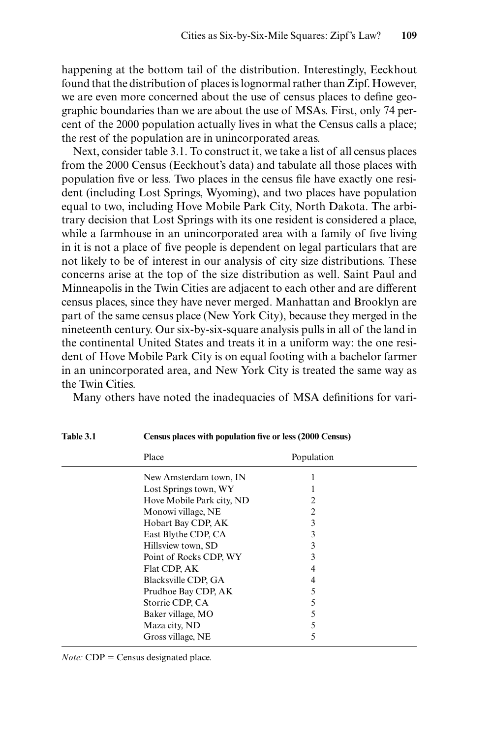happening at the bottom tail of the distribution. Interestingly, Eeckhout found that the distribution of places is lognormal rather than Zipf. However, we are even more concerned about the use of census places to define geographic boundaries than we are about the use of MSAs. First, only 74 percent of the 2000 population actually lives in what the Census calls a place; the rest of the population are in unincorporated areas.

Next, consider table 3.1. To construct it, we take a list of all census places from the 2000 Census (Eeckhout's data) and tabulate all those places with population five or less. Two places in the census file have exactly one resident (including Lost Springs, Wyoming), and two places have population equal to two, including Hove Mobile Park City, North Dakota. The arbitrary decision that Lost Springs with its one resident is considered a place, while a farmhouse in an unincorporated area with a family of five living in it is not a place of five people is dependent on legal particulars that are not likely to be of interest in our analysis of city size distributions. These concerns arise at the top of the size distribution as well. Saint Paul and Minneapolis in the Twin Cities are adjacent to each other and are different census places, since they have never merged. Manhattan and Brooklyn are part of the same census place (New York City), because they merged in the nineteenth century. Our six-by-six-square analysis pulls in all of the land in the continental United States and treats it in a uniform way: the one resident of Hove Mobile Park City is on equal footing with a bachelor farmer in an unincorporated area, and New York City is treated the same way as the Twin Cities.

Many others have noted the inadequacies of MSA definitions for vari-

| Place                     | Population |  |  |  |
|---------------------------|------------|--|--|--|
| New Amsterdam town, IN    |            |  |  |  |
| Lost Springs town, WY     |            |  |  |  |
| Hove Mobile Park city, ND |            |  |  |  |
| Monowi village, NE        |            |  |  |  |
| Hobart Bay CDP, AK        | 3          |  |  |  |
| East Blythe CDP, CA       | 3          |  |  |  |
| Hillsview town, SD        | 3          |  |  |  |
| Point of Rocks CDP, WY    |            |  |  |  |
| Flat CDP, AK              |            |  |  |  |
| Blacksville CDP, GA       |            |  |  |  |
| Prudhoe Bay CDP, AK       |            |  |  |  |
| Storrie CDP, CA           | 5          |  |  |  |
| Baker village, MO         | 5          |  |  |  |
| Maza city, ND             |            |  |  |  |
| Gross village, NE         |            |  |  |  |
|                           |            |  |  |  |

**Table 3.1 Census places with population five or less (2000 Census)** 

 $Note: \text{CDP} = \text{Census designated place.}$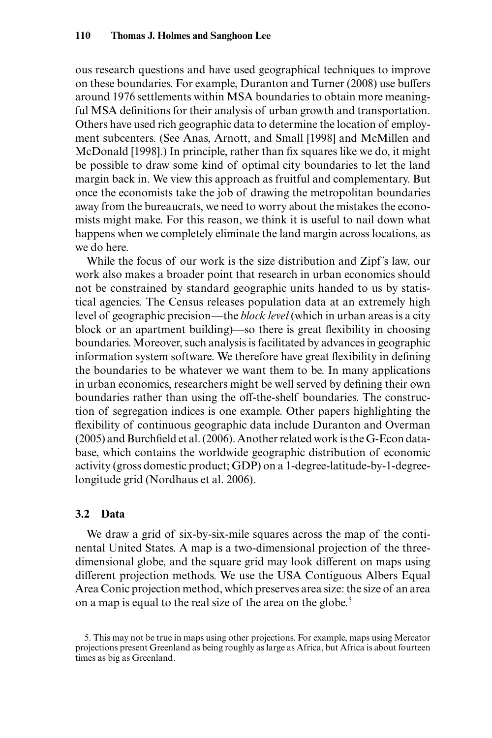ous research questions and have used geographical techniques to improve on these boundaries. For example, Duranton and Turner (2008) use buffers around 1976 settlements within MSA boundaries to obtain more meaningful MSA definitions for their analysis of urban growth and transportation. Others have used rich geographic data to determine the location of employment subcenters. (See Anas, Arnott, and Small [1998] and McMillen and McDonald [1998].) In principle, rather than fix squares like we do, it might be possible to draw some kind of optimal city boundaries to let the land margin back in. We view this approach as fruitful and complementary. But once the economists take the job of drawing the metropolitan boundaries away from the bureaucrats, we need to worry about the mistakes the economists might make. For this reason, we think it is useful to nail down what happens when we completely eliminate the land margin across locations, as we do here.

While the focus of our work is the size distribution and Zipf's law, our work also makes a broader point that research in urban economics should not be constrained by standard geographic units handed to us by statistical agencies. The Census releases population data at an extremely high level of geographic precision—the *block level* (which in urban areas is a city block or an apartment building)—so there is great flexibility in choosing boundaries. Moreover, such analysis is facilitated by advances in geographic information system software. We therefore have great flexibility in defining the boundaries to be whatever we want them to be. In many applications in urban economics, researchers might be well served by defining their own boundaries rather than using the off-the-shelf boundaries. The construction of segregation indices is one example. Other papers highlighting the flexibility of continuous geographic data include Duranton and Overman  $(2005)$  and Burchfield et al.  $(2006)$ . Another related work is the G-Econ database, which contains the worldwide geographic distribution of economic activity (gross domestic product; GDP) on a 1- degree- latitude- by- 1- degreelongitude grid (Nordhaus et al. 2006).

#### **3.2 Data**

We draw a grid of six-by-six-mile squares across the map of the continental United States. A map is a two- dimensional projection of the three dimensional globe, and the square grid may look different on maps using different projection methods. We use the USA Contiguous Albers Equal Area Conic projection method, which preserves area size: the size of an area on a map is equal to the real size of the area on the globe.<sup>5</sup>

<sup>5.</sup> This may not be true in maps using other projections. For example, maps using Mercator projections present Greenland as being roughly as large as Africa, but Africa is about fourteen times as big as Greenland.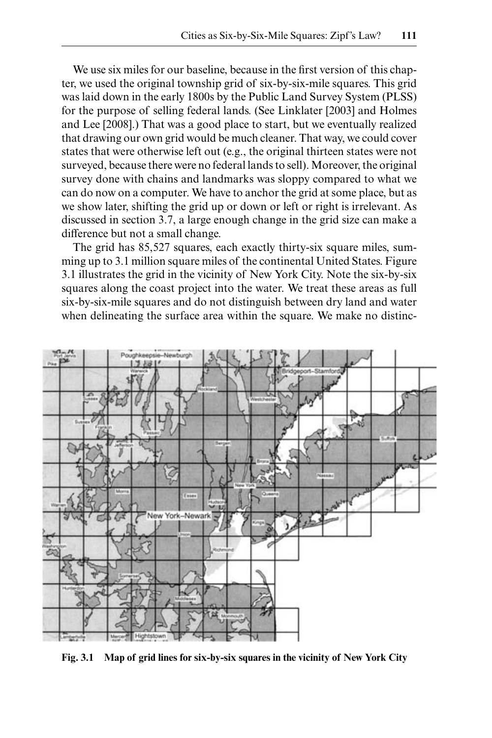We use six miles for our baseline, because in the first version of this chapter, we used the original township grid of six- by- six- mile squares. This grid was laid down in the early 1800s by the Public Land Survey System (PLSS) for the purpose of selling federal lands. (See Linklater [2003] and Holmes and Lee [2008].) That was a good place to start, but we eventually realized that drawing our own grid would be much cleaner. That way, we could cover states that were otherwise left out (e.g., the original thirteen states were not surveyed, because there were no federal lands to sell). Moreover, the original survey done with chains and landmarks was sloppy compared to what we can do now on a computer. We have to anchor the grid at some place, but as we show later, shifting the grid up or down or left or right is irrelevant. As discussed in section 3.7, a large enough change in the grid size can make a difference but not a small change.

The grid has 85,527 squares, each exactly thirty-six square miles, summing up to 3.1 million square miles of the continental United States. Figure 3.1 illustrates the grid in the vicinity of New York City. Note the six-by-six squares along the coast project into the water. We treat these areas as full six- by- six- mile squares and do not distinguish between dry land and water when delineating the surface area within the square. We make no distinc-



Fig. 3.1 Map of grid lines for six-by-six squares in the vicinity of New York City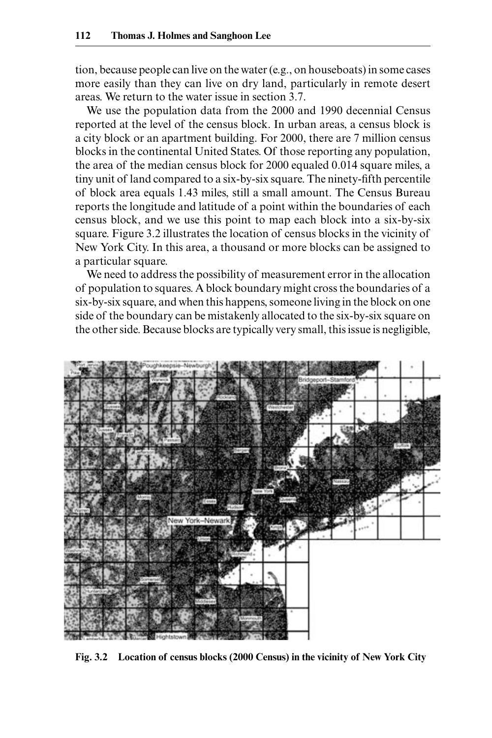tion, because people can live on the water (e.g., on houseboats) in some cases more easily than they can live on dry land, particularly in remote desert areas. We return to the water issue in section 3.7.

We use the population data from the 2000 and 1990 decennial Census reported at the level of the census block. In urban areas, a census block is a city block or an apartment building. For 2000, there are 7 million census blocks in the continental United States. Of those reporting any population, the area of the median census block for 2000 equaled 0.014 square miles, a tiny unit of land compared to a six-by-six square. The ninety-fifth percentile of block area equals 1.43 miles, still a small amount. The Census Bureau reports the longitude and latitude of a point within the boundaries of each census block, and we use this point to map each block into a six-by-six square. Figure 3.2 illustrates the location of census blocks in the vicinity of New York City. In this area, a thousand or more blocks can be assigned to a particular square.

We need to address the possibility of measurement error in the allocation of population to squares. A block boundary might cross the boundaries of a six- by- six square, and when this happens, someone living in the block on one side of the boundary can be mistakenly allocated to the six-by-six square on the other side. Because blocks are typically very small, this issue is negligible,



**Fig. 3.2 Location of census blocks (2000 Census) in the vicinity of New York City**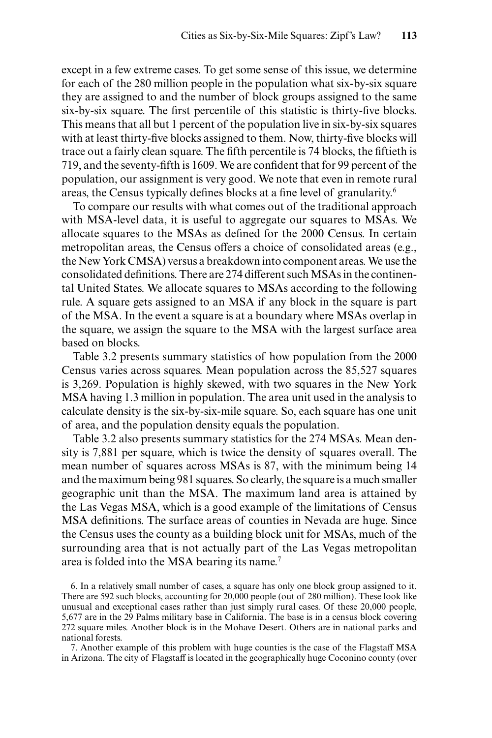except in a few extreme cases. To get some sense of this issue, we determine for each of the 280 million people in the population what six-by-six square they are assigned to and the number of block groups assigned to the same six-by-six square. The first percentile of this statistic is thirty-five blocks. This means that all but 1 percent of the population live in six-by-six squares with at least thirty-five blocks assigned to them. Now, thirty-five blocks will trace out a fairly clean square. The fifth percentile is 74 blocks, the fiftieth is 719, and the seventy-fifth is 1609. We are confident that for 99 percent of the population, our assignment is very good. We note that even in remote rural areas, the Census typically defines blocks at a fine level of granularity.<sup>6</sup>

To compare our results with what comes out of the traditional approach with MSA-level data, it is useful to aggregate our squares to MSAs. We allocate squares to the MSAs as defined for the 2000 Census. In certain metropolitan areas, the Census offers a choice of consolidated areas (e.g., the New York CMSA) versus a breakdown into component areas. We use the consolidated definitions. There are 274 different such MSAs in the continental United States. We allocate squares to MSAs according to the following rule. A square gets assigned to an MSA if any block in the square is part of the MSA. In the event a square is at a boundary where MSAs overlap in the square, we assign the square to the MSA with the largest surface area based on blocks.

Table 3.2 presents summary statistics of how population from the 2000 Census varies across squares. Mean population across the 85,527 squares is 3,269. Population is highly skewed, with two squares in the New York MSA having 1.3 million in population. The area unit used in the analysis to calculate density is the six-by-six-mile square. So, each square has one unit of area, and the population density equals the population.

Table 3.2 also presents summary statistics for the 274 MSAs. Mean density is 7,881 per square, which is twice the density of squares overall. The mean number of squares across MSAs is 87, with the minimum being 14 and the maximum being 981 squares. So clearly, the square is a much smaller geographic unit than the MSA. The maximum land area is attained by the Las Vegas MSA, which is a good example of the limitations of Census MSA definitions. The surface areas of counties in Nevada are huge. Since the Census uses the county as a building block unit for MSAs, much of the surrounding area that is not actually part of the Las Vegas metropolitan area is folded into the MSA bearing its name.7

6. In a relatively small number of cases, a square has only one block group assigned to it. There are 592 such blocks, accounting for 20,000 people (out of 280 million). These look like unusual and exceptional cases rather than just simply rural cases. Of these 20,000 people, 5,677 are in the 29 Palms military base in California. The base is in a census block covering 272 square miles. Another block is in the Mohave Desert. Others are in national parks and national forests.

7. Another example of this problem with huge counties is the case of the Flagstaff MSA in Arizona. The city of Flagstaff is located in the geographically huge Coconino county (over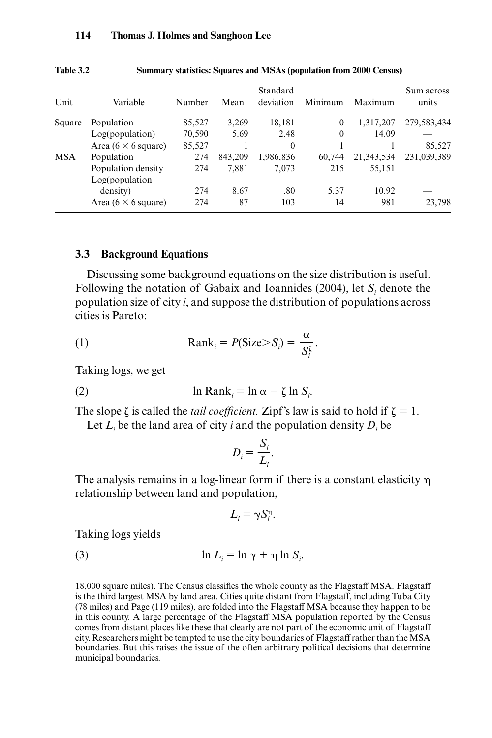| Unit       | Variable                             | Number | Mean    | Standard<br>deviation | Minimum          | Maximum    | Sum across<br>units |
|------------|--------------------------------------|--------|---------|-----------------------|------------------|------------|---------------------|
| Square     | Population                           | 85,527 | 3,269   | 18,181                | $\mathbf{0}$     | 1,317,207  | 279,583,434         |
|            | Log(population)                      | 70,590 | 5.69    | 2.48                  | $\boldsymbol{0}$ | 14.09      |                     |
|            | Area ( $6 \times 6$ square)          | 85,527 |         | $\theta$              |                  |            | 85.527              |
| <b>MSA</b> | Population                           | 274    | 843,209 | 1.986.836             | 60.744           | 21,343,534 | 231.039.389         |
|            | Population density<br>Log(population | 274    | 7,881   | 7.073                 | 215              | 55,151     |                     |
|            | density)                             | 274    | 8.67    | .80                   | 5.37             | 10.92      |                     |
|            | Area ( $6 \times 6$ square)          | 274    | 87      | 103                   | 14               | 981        | 23.798              |

**Table 3.2 Summary statistics: Squares and MSAs (population from 2000 Census)**

#### **3.3 Background Equations**

Discussing some background equations on the size distribution is useful. Following the notation of Gabaix and Ioannides  $(2004)$ , let  $S<sub>i</sub>$  denote the population size of city *i*, and suppose the distribution of populations across cities is Pareto:

(1) 
$$
\text{Rank}_i = P(\text{Size} > S_i) = \frac{\alpha}{S_i^{\zeta}}.
$$

Taking logs, we get

(2) 
$$
\ln \text{Rank}_i = \ln \alpha - \zeta \ln S_i.
$$

The slope  $\zeta$  is called the *tail coefficient*. Zipf's law is said to hold if  $\zeta = 1$ .

Let  $L_i$  be the land area of city *i* and the population density  $D_i$  be

$$
D_i = \frac{S_i}{L_i}.
$$

The analysis remains in a log-linear form if there is a constant elasticity  $\eta$ relationship between land and population,

$$
L_i = \gamma S_i^{\eta}.
$$

Taking logs yields

(3)  $\ln L_i = \ln \gamma + \eta \ln S_i$ .

<sup>18,000</sup> square miles). The Census classifies the whole county as the Flagstaff MSA. Flagstaff is the third largest MSA by land area. Cities quite distant from Flagstaff, including Tuba City (78 miles) and Page (119 miles), are folded into the Flagstaff MSA because they happen to be in this county. A large percentage of the Flagstaff MSA population reported by the Census comes from distant places like these that clearly are not part of the economic unit of Flagstaff city. Researchers might be tempted to use the city boundaries of Flagstaff rather than the MSA boundaries. But this raises the issue of the often arbitrary political decisions that determine municipal boundaries.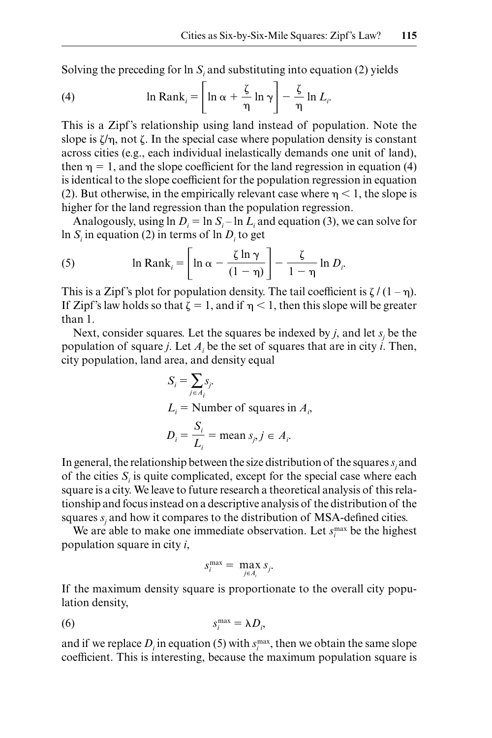Solving the preceding for  $\ln S_i$  and substituting into equation (2) yields

(4) 
$$
\ln \text{Rank}_i = \left\lfloor \ln \alpha + \frac{\zeta}{\eta} \ln \gamma \right\rfloor - \frac{\zeta}{\eta} \ln L_i.
$$

This is a Zipf's relationship using land instead of population. Note the slope is  $\zeta/\eta$ , not  $\zeta$ . In the special case where population density is constant across cities (e.g., each individual inelastically demands one unit of land), then  $\eta = 1$ , and the slope coefficient for the land regression in equation (4) is identical to the slope coefficient for the population regression in equation (2). But otherwise, in the empirically relevant case where  $\eta$  < 1, the slope is higher for the land regression than the population regression.

Analogously, using  $\ln D_i = \ln S_i - \ln L_i$  and equation (3), we can solve for  $\ln S_i$  in equation (2) in terms of  $\ln D_i$  to get

(5) 
$$
\ln \text{Rank}_i = \left[\ln \alpha - \frac{\zeta \ln \gamma}{(1-\eta)}\right] - \frac{\zeta}{1-\eta} \ln D_i.
$$

This is a Zipf's plot for population density. The tail coefficient is  $\zeta/(1-\eta)$ . If Zipf's law holds so that  $\zeta = 1$ , and if  $\eta < 1$ , then this slope will be greater than 1.

Next, consider squares. Let the squares be indexed by  $j$ , and let  $s_j$  be the population of square *j*. Let  $A_i$  be the set of squares that are in city *i*. Then, city population, land area, and density equal

$$
S_i = \sum_{j \in A_i} s_j.
$$
  
\n
$$
L_i = \text{Number of squares in } A_i,
$$
  
\n
$$
D_i = \frac{S_i}{L_i} = \text{mean } s_j, j \in A_i.
$$

In general, the relationship between the size distribution of the squares  $s_j$  and of the cities  $S_i$  is quite complicated, except for the special case where each square is a city. We leave to future research a theoretical analysis of this relationship and focus instead on a descriptive analysis of the distribution of the squares  $s_j$  and how it compares to the distribution of MSA-defined cities.

We are able to make one immediate observation. Let  $s_i^{\max}$  be the highest population square in city *i*,

$$
s_i^{\max} = \max_{j \in A_i} s_j.
$$

If the maximum density square is proportionate to the overall city population density,

$$
s_i^{\max} = \lambda D_i,
$$

and if we replace  $D_i$  in equation (5) with  $s_i^{\text{max}}$ , then we obtain the same slope coefficient. This is interesting, because the maximum population square is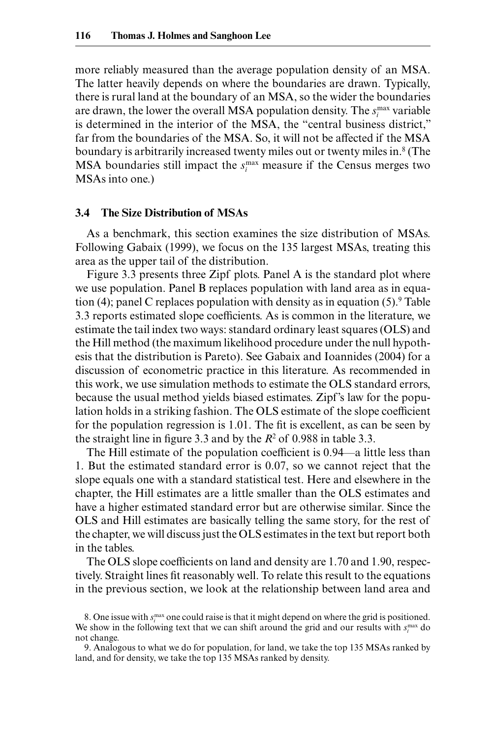more reliably measured than the average population density of an MSA. The latter heavily depends on where the boundaries are drawn. Typically, there is rural land at the boundary of an MSA, so the wider the boundaries are drawn, the lower the overall MSA population density. The  $s_i^{\max}$  variable is determined in the interior of the MSA, the "central business district," far from the boundaries of the MSA. So, it will not be affected if the MSA boundary is arbitrarily increased twenty miles out or twenty miles in.<sup>8</sup> (The MSA boundaries still impact the  $s_i^{\max}$  measure if the Census merges two MSAs into one.)

#### **3.4 The Size Distribution of MSAs**

As a benchmark, this section examines the size distribution of MSAs. Following Gabaix (1999), we focus on the 135 largest MSAs, treating this area as the upper tail of the distribution.

Figure 3.3 presents three Zipf plots. Panel A is the standard plot where we use population. Panel B replaces population with land area as in equation (4); panel C replaces population with density as in equation  $(5)$ . Table 3.3 reports estimated slope coefficients. As is common in the literature, we estimate the tail index two ways: standard ordinary least squares (OLS) and the Hill method (the maximum likelihood procedure under the null hypothesis that the distribution is Pareto). See Gabaix and Ioannides (2004) for a discussion of econometric practice in this literature. As recommended in this work, we use simulation methods to estimate the OLS standard errors, because the usual method yields biased estimates. Zipf's law for the population holds in a striking fashion. The OLS estimate of the slope coefficient for the population regression is 1.01. The fit is excellent, as can be seen by the straight line in figure 3.3 and by the  $R^2$  of 0.988 in table 3.3.

The Hill estimate of the population coefficient is 0.94—a little less than 1. But the estimated standard error is 0.07, so we cannot reject that the slope equals one with a standard statistical test. Here and elsewhere in the chapter, the Hill estimates are a little smaller than the OLS estimates and have a higher estimated standard error but are otherwise similar. Since the OLS and Hill estimates are basically telling the same story, for the rest of the chapter, we will discuss just the OLS estimates in the text but report both in the tables.

The OLS slope coefficients on land and density are 1.70 and 1.90, respectively. Straight lines fit reasonably well. To relate this result to the equations in the previous section, we look at the relationship between land area and

<sup>8.</sup> One issue with  $s_i^{\text{max}}$  one could raise is that it might depend on where the grid is positioned. We show in the following text that we can shift around the grid and our results with  $s_i^{\max}$  do not change.

<sup>9.</sup> Analogous to what we do for population, for land, we take the top 135 MSAs ranked by land, and for density, we take the top 135 MSAs ranked by density.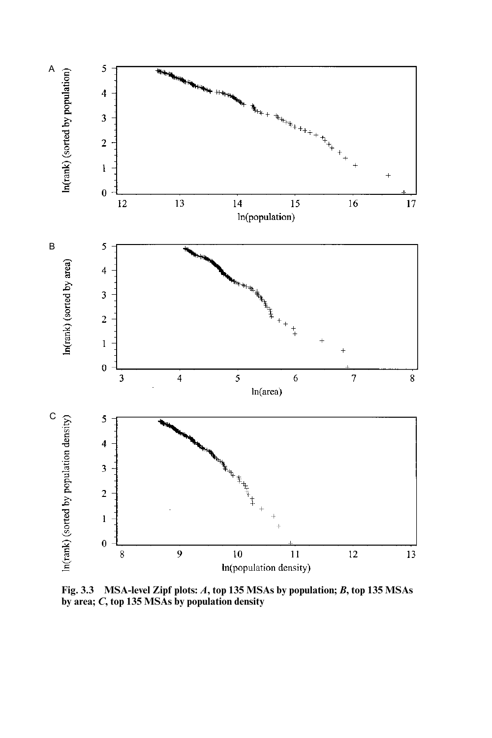

**Fig. 3.3 MSA- level Zipf plots:** *A***, top 135 MSAs by population;** *B***, top 135 MSAs by area;** *C***, top 135 MSAs by population density**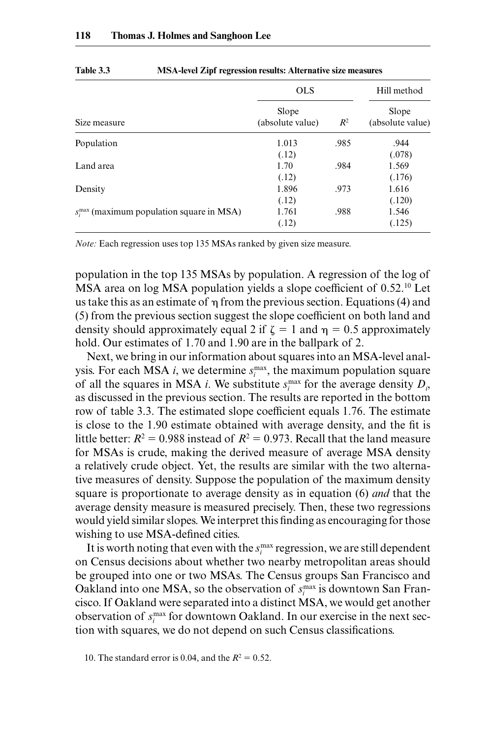|                                                       | <b>OLS</b>                | Hill method |                           |
|-------------------------------------------------------|---------------------------|-------------|---------------------------|
| Size measure                                          | Slope<br>(absolute value) | $R^2$       | Slope<br>(absolute value) |
| Population                                            | 1.013                     | .985        | .944                      |
|                                                       | (.12)                     |             | (.078)                    |
| Land area                                             | 1.70                      | .984        | 1.569                     |
|                                                       | (.12)                     |             | (.176)                    |
| Density                                               | 1.896                     | .973        | 1.616                     |
|                                                       | (.12)                     |             | (.120)                    |
| $s_i^{\text{max}}$ (maximum population square in MSA) | 1.761                     | .988        | 1.546                     |
|                                                       | (.12)                     |             | (.125)                    |

**Table 3.3 MSA- level Zipf regression results: Alternative size measures**

*Note:* Each regression uses top 135 MSAs ranked by given size measure.

population in the top 135 MSAs by population. A regression of the log of MSA area on log MSA population yields a slope coefficient of 0.52.10 Let us take this as an estimate of  $\eta$  from the previous section. Equations (4) and (5) from the previous section suggest the slope coefficient on both land and density should approximately equal 2 if  $\zeta = 1$  and  $\eta = 0.5$  approximately hold. Our estimates of 1.70 and 1.90 are in the ballpark of 2.

Next, we bring in our information about squares into an MSA- level analysis. For each MSA  $i$ , we determine  $s_i^{\text{max}}$ , the maximum population square of all the squares in MSA *i*. We substitute  $s_i^{\text{max}}$  for the average density  $D_i$ , as discussed in the previous section. The results are reported in the bottom row of table 3.3. The estimated slope coefficient equals 1.76. The estimate is close to the 1.90 estimate obtained with average density, and the fit is little better:  $R^2 = 0.988$  instead of  $R^2 = 0.973$ . Recall that the land measure for MSAs is crude, making the derived measure of average MSA density a relatively crude object. Yet, the results are similar with the two alternative measures of density. Suppose the population of the maximum density square is proportionate to average density as in equation (6) *and* that the average density measure is measured precisely. Then, these two regressions would yield similar slopes. We interpret this finding as encouraging for those wishing to use MSA-defined cities.

It is worth noting that even with the  $s_i^{\max}$  regression, we are still dependent on Census decisions about whether two nearby metropolitan areas should be grouped into one or two MSAs. The Census groups San Francisco and Oakland into one MSA, so the observation of  $s_i^{\max}$  is downtown San Francisco. If Oakland were separated into a distinct MSA, we would get another observation of  $s_i^{\text{max}}$  for downtown Oakland. In our exercise in the next section with squares, we do not depend on such Census classifications.

10. The standard error is 0.04, and the  $R^2 = 0.52$ .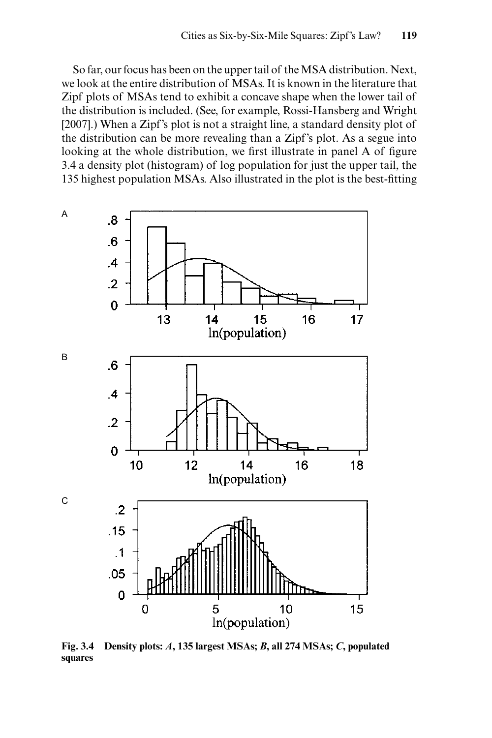So far, our focus has been on the upper tail of the MSA distribution. Next, we look at the entire distribution of MSAs. It is known in the literature that Zipf plots of MSAs tend to exhibit a concave shape when the lower tail of the distribution is included. (See, for example, Rossi- Hansberg and Wright [2007].) When a Zipf's plot is not a straight line, a standard density plot of the distribution can be more revealing than a Zipf's plot. As a segue into looking at the whole distribution, we first illustrate in panel A of figure 3.4 a density plot (histogram) of log population for just the upper tail, the 135 highest population MSAs. Also illustrated in the plot is the best-fitting



**Fig. 3.4 Density plots:** *A***, 135 largest MSAs;** *B***, all 274 MSAs;** *C***, populated squares**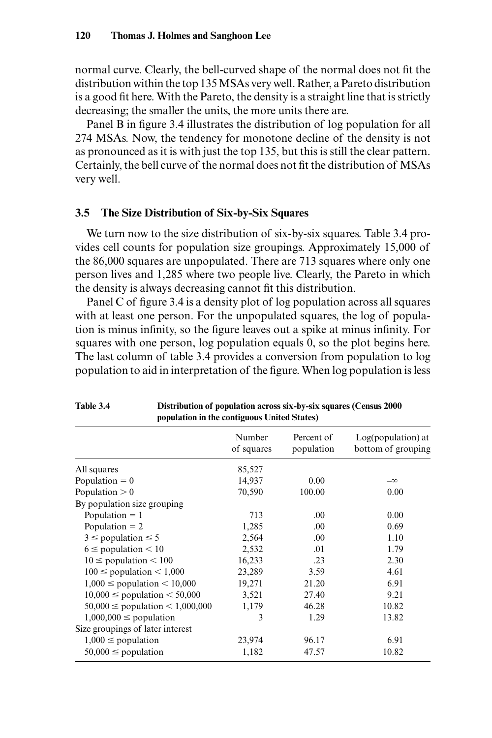normal curve. Clearly, the bell-curved shape of the normal does not fit the distribution within the top 135 MSAs very well. Rather, a Pareto distribution is a good fit here. With the Pareto, the density is a straight line that is strictly decreasing; the smaller the units, the more units there are.

Panel B in figure 3.4 illustrates the distribution of log population for all 274 MSAs. Now, the tendency for monotone decline of the density is not as pronounced as it is with just the top 135, but this is still the clear pattern. Certainly, the bell curve of the normal does not fit the distribution of MSAs very well.

#### **3.5 The Size Distribution of Six-by-Six Squares**

We turn now to the size distribution of six-by-six squares. Table 3.4 provides cell counts for population size groupings. Approximately 15,000 of the 86,000 squares are unpopulated. There are 713 squares where only one person lives and 1,285 where two people live. Clearly, the Pareto in which the density is always decreasing cannot fit this distribution.

Panel C of figure 3.4 is a density plot of log population across all squares with at least one person. For the unpopulated squares, the log of population is minus infinity, so the figure leaves out a spike at minus infinity. For squares with one person, log population equals 0, so the plot begins here. The last column of table 3.4 provides a conversion from population to log population to aid in interpretation of the figure. When log population is less

**Table 3.4 Distribution of population across six- by- six squares (Census 2000** 

| population in the contiguous United States) |                      |                          |                                          |  |  |  |
|---------------------------------------------|----------------------|--------------------------|------------------------------------------|--|--|--|
|                                             | Number<br>of squares | Percent of<br>population | Log(population) at<br>bottom of grouping |  |  |  |
| All squares                                 | 85,527               |                          |                                          |  |  |  |
| Population $= 0$                            | 14,937               | 0.00                     | $-\infty$                                |  |  |  |
| Population $> 0$                            | 70,590               | 100.00                   | 0.00                                     |  |  |  |
| By population size grouping                 |                      |                          |                                          |  |  |  |
| Population $= 1$                            | 713                  | .00.                     | 0.00                                     |  |  |  |
| Population $= 2$                            | 1,285                | .00.                     | 0.69                                     |  |  |  |
| $3 \le$ population $\le 5$                  | 2,564                | .00.                     | 1.10                                     |  |  |  |
| $6 \leq$ population $\leq 10$               | 2,532                | .01                      | 1.79                                     |  |  |  |
| $10 \leq$ population $\leq 100$             | 16,233               | .23                      | 2.30                                     |  |  |  |
| $100 \le$ population $\le 1,000$            | 23,289               | 3.59                     | 4.61                                     |  |  |  |
| $1,000 \leq$ population $\leq 10,000$       | 19,271               | 21.20                    | 6.91                                     |  |  |  |
| $10,000 \leq$ population $< 50,000$         | 3,521                | 27.40                    | 9.21                                     |  |  |  |
| $50,000 \le$ population $\le 1,000,000$     | 1,179                | 46.28                    | 10.82                                    |  |  |  |
| $1,000,000 \leq$ population                 | 3                    | 1.29                     | 13.82                                    |  |  |  |
| Size groupings of later interest            |                      |                          |                                          |  |  |  |
| $1,000 \leq$ population                     | 23,974               | 96.17                    | 6.91                                     |  |  |  |
| $50,000 \leq$ population                    | 1,182                | 47.57                    | 10.82                                    |  |  |  |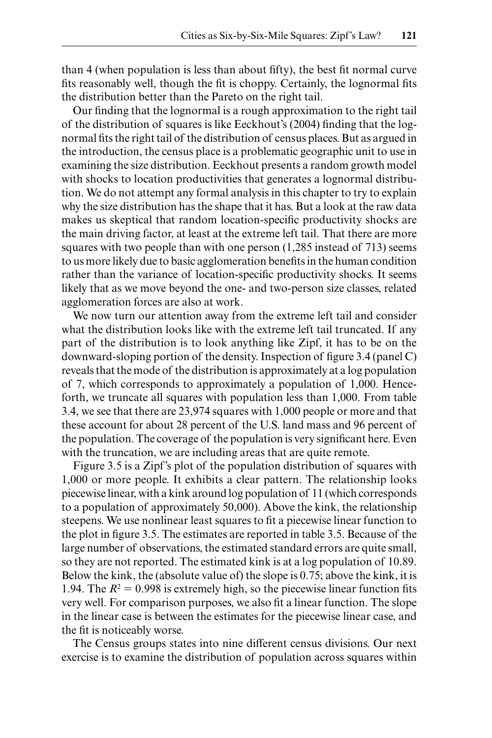than 4 (when population is less than about fifty), the best fit normal curve fits reasonably well, though the fit is choppy. Certainly, the lognormal fits the distribution better than the Pareto on the right tail.

Our finding that the lognormal is a rough approximation to the right tail of the distribution of squares is like Eeckhout's (2004) finding that the lognormal fits the right tail of the distribution of census places. But as argued in the introduction, the census place is a problematic geographic unit to use in examining the size distribution. Eeckhout presents a random growth model with shocks to location productivities that generates a lognormal distribution. We do not attempt any formal analysis in this chapter to try to explain why the size distribution has the shape that it has. But a look at the raw data makes us skeptical that random location-specific productivity shocks are the main driving factor, at least at the extreme left tail. That there are more squares with two people than with one person (1,285 instead of 713) seems to us more likely due to basic agglomeration benefits in the human condition rather than the variance of location-specific productivity shocks. It seems likely that as we move beyond the one- and two- person size classes, related agglomeration forces are also at work.

We now turn our attention away from the extreme left tail and consider what the distribution looks like with the extreme left tail truncated. If any part of the distribution is to look anything like Zipf, it has to be on the downward-sloping portion of the density. Inspection of figure 3.4 (panel C) reveals that the mode of the distribution is approximately at a log population of 7, which corresponds to approximately a population of 1,000. Henceforth, we truncate all squares with population less than 1,000. From table 3.4, we see that there are 23,974 squares with 1,000 people or more and that these account for about 28 percent of the U.S. land mass and 96 percent of the population. The coverage of the population is very significant here. Even with the truncation, we are including areas that are quite remote.

Figure 3.5 is a Zipf's plot of the population distribution of squares with 1,000 or more people. It exhibits a clear pattern. The relationship looks piecewise linear, with a kink around log population of 11 (which corresponds to a population of approximately 50,000). Above the kink, the relationship steepens. We use nonlinear least squares to fit a piecewise linear function to the plot in figure 3.5. The estimates are reported in table 3.5. Because of the large number of observations, the estimated standard errors are quite small, so they are not reported. The estimated kink is at a log population of 10.89. Below the kink, the (absolute value of) the slope is 0.75; above the kink, it is 1.94. The  $R^2 = 0.998$  is extremely high, so the piecewise linear function fits very well. For comparison purposes, we also fit a linear function. The slope in the linear case is between the estimates for the piecewise linear case, and the fit is noticeably worse.

The Census groups states into nine different census divisions. Our next exercise is to examine the distribution of population across squares within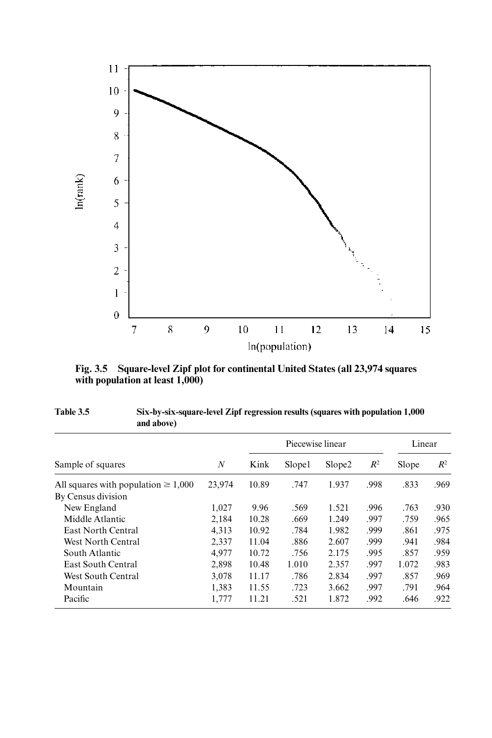

**Fig. 3.5 Square- level Zipf plot for continental United States (all 23,974 squares with population at least 1,000)**

| and above)                                                     |        |       |                  |                    |       |       |       |
|----------------------------------------------------------------|--------|-------|------------------|--------------------|-------|-------|-------|
|                                                                |        |       | Piecewise linear | Linear             |       |       |       |
| Sample of squares                                              | N      | Kink  | Slope1           | Slope <sub>2</sub> | $R^2$ | Slope | $R^2$ |
| All squares with population $\geq 1,000$<br>By Census division | 23,974 | 10.89 | .747             | 1.937              | .998  | .833  | .969  |
| New England                                                    | 1,027  | 9.96  | .569             | 1.521              | .996  | .763  | .930  |
| Middle Atlantic                                                | 2,184  | 10.28 | .669             | 1.249              | .997  | .759  | .965  |
| <b>East North Central</b>                                      | 4,313  | 10.92 | .784             | 1.982              | .999  | .861  | .975  |
| West North Central                                             | 2,337  | 11.04 | .886             | 2.607              | .999  | .941  | .984  |
| South Atlantic                                                 | 4.977  | 10.72 | .756             | 2.175              | .995  | .857  | .959  |
| East South Central                                             | 2,898  | 10.48 | 1.010            | 2.357              | .997  | 1.072 | .983  |
| West South Central                                             | 3,078  | 11.17 | .786             | 2.834              | .997  | .857  | .969  |
| Mountain                                                       | 1.383  | 11.55 | .723             | 3.662              | .997  | .791  | .964  |
| Pacific                                                        | 1,777  | 11.21 | .521             | 1.872              | .992  | .646  | .922  |

Table 3.5 Six-by-six-square-level Zipf regression results (squares with population 1,000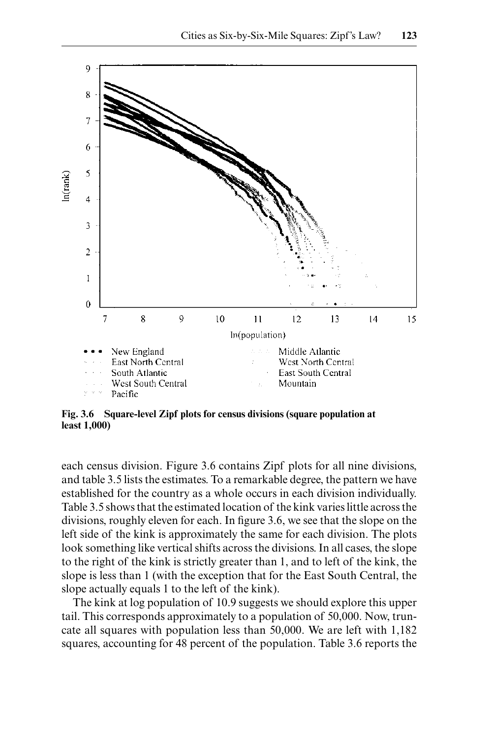

**Fig. 3.6 Square- level Zipf plots for census divisions (square population at least 1,000)**

each census division. Figure 3.6 contains Zipf plots for all nine divisions, and table 3.5 lists the estimates. To a remarkable degree, the pattern we have established for the country as a whole occurs in each division individually. Table 3.5 shows that the estimated location of the kink varies little across the divisions, roughly eleven for each. In figure 3.6, we see that the slope on the left side of the kink is approximately the same for each division. The plots look something like vertical shifts across the divisions. In all cases, the slope to the right of the kink is strictly greater than 1, and to left of the kink, the slope is less than 1 (with the exception that for the East South Central, the slope actually equals 1 to the left of the kink).

The kink at log population of 10.9 suggests we should explore this upper tail. This corresponds approximately to a population of 50,000. Now, truncate all squares with population less than 50,000. We are left with 1,182 squares, accounting for 48 percent of the population. Table 3.6 reports the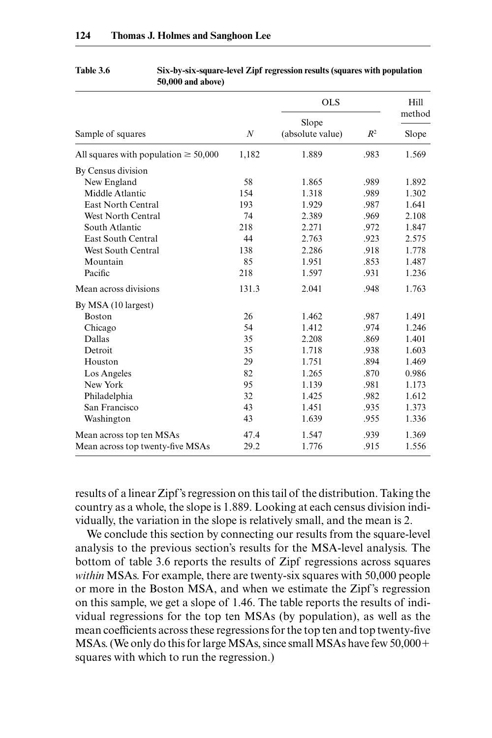|                                           |                  | <b>OLS</b>       |       | Hill<br>method |  |
|-------------------------------------------|------------------|------------------|-------|----------------|--|
|                                           |                  | Slope            |       |                |  |
| Sample of squares                         | $\boldsymbol{N}$ | (absolute value) | $R^2$ | Slope          |  |
| All squares with population $\geq 50,000$ | 1,182            | 1.889            | .983  | 1.569          |  |
| By Census division                        |                  |                  |       |                |  |
| New England                               | 58               | 1.865            | .989  | 1.892          |  |
| Middle Atlantic                           | 154              | 1.318            | .989  | 1.302          |  |
| East North Central                        | 193              | 1.929            | .987  | 1.641          |  |
| <b>West North Central</b>                 | 74               | 2.389            | .969  | 2.108          |  |
| South Atlantic                            | 218              | 2.271            | .972  | 1.847          |  |
| <b>East South Central</b>                 | 44               | 2.763            | .923  | 2.575          |  |
| West South Central                        | 138              | 2.286            | .918  | 1.778          |  |
| Mountain                                  | 85               | 1.951            | .853  | 1.487          |  |
| Pacific                                   | 218              | 1.597            | .931  | 1.236          |  |
| Mean across divisions                     | 131.3            | 2.041            | .948  | 1.763          |  |
| By MSA (10 largest)                       |                  |                  |       |                |  |
| <b>Boston</b>                             | 26               | 1.462            | .987  | 1.491          |  |
| Chicago                                   | 54               | 1.412            | .974  | 1.246          |  |
| <b>Dallas</b>                             | 35               | 2.208            | .869  | 1.401          |  |
| Detroit                                   | 35               | 1.718            | .938  | 1.603          |  |
| Houston                                   | 29               | 1.751            | .894  | 1.469          |  |
| Los Angeles                               | 82               | 1.265            | .870  | 0.986          |  |
| New York                                  | 95               | 1.139            | .981  | 1.173          |  |
| Philadelphia                              | 32               | 1.425            | .982  | 1.612          |  |
| San Francisco                             | 43               | 1.451            | .935  | 1.373          |  |
| Washington                                | 43               | 1.639            | .955  | 1.336          |  |
| Mean across top ten MSAs                  | 47.4             | 1.547            | .939  | 1.369          |  |
| Mean across top twenty-five MSAs          | 29.2             | 1.776            | .915  | 1.556          |  |

#### Table 3.6 Six-by-six-square-level Zipf regression results (squares with population **50,000 and above)**

results of a linear Zipf's regression on this tail of the distribution. Taking the country as a whole, the slope is 1.889. Looking at each census division individually, the variation in the slope is relatively small, and the mean is 2.

We conclude this section by connecting our results from the square-level analysis to the previous section's results for the MSA- level analysis. The bottom of table 3.6 reports the results of Zipf regressions across squares *within* MSAs. For example, there are twenty-six squares with 50,000 people or more in the Boston MSA, and when we estimate the Zipf's regression on this sample, we get a slope of 1.46. The table reports the results of individual regressions for the top ten MSAs (by population), as well as the mean coefficients across these regressions for the top ten and top twenty-five MSAs. (We only do this for large MSAs, since small MSAs have few 50,000 squares with which to run the regression.)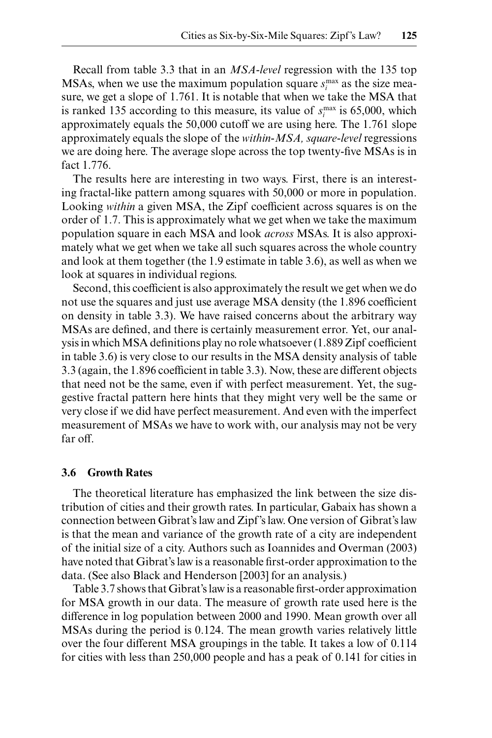Recall from table 3.3 that in an *MSA- level* regression with the 135 top MSAs, when we use the maximum population square  $s_i^{\text{max}}$  as the size measure, we get a slope of 1.761. It is notable that when we take the MSA that is ranked 135 according to this measure, its value of  $s_i^{\max}$  is 65,000, which approximately equals the 50,000 cutoff we are using here. The 1.761 slope approximately equals the slope of the *within- MSA, square- level* regressions we are doing here. The average slope across the top twenty-five MSAs is in fact 1.776.

The results here are interesting in two ways. First, there is an interesting fractal-like pattern among squares with 50,000 or more in population. Looking *within* a given MSA, the Zipf coefficient across squares is on the order of 1.7. This is approximately what we get when we take the maximum population square in each MSA and look *across* MSAs. It is also approximately what we get when we take all such squares across the whole country and look at them together (the 1.9 estimate in table 3.6), as well as when we look at squares in individual regions.

Second, this coefficient is also approximately the result we get when we do not use the squares and just use average MSA density (the 1.896 coefficient on density in table 3.3). We have raised concerns about the arbitrary way MSAs are defined, and there is certainly measurement error. Yet, our analysis in which MSA definitions play no role whatsoever (1.889 Zipf coefficient in table 3.6) is very close to our results in the MSA density analysis of table 3.3 (again, the 1.896 coefficient in table 3.3). Now, these are different objects that need not be the same, even if with perfect measurement. Yet, the suggestive fractal pattern here hints that they might very well be the same or very close if we did have perfect measurement. And even with the imperfect measurement of MSAs we have to work with, our analysis may not be very far off.

#### **3.6 Growth Rates**

The theoretical literature has emphasized the link between the size distribution of cities and their growth rates. In particular, Gabaix has shown a connection between Gibrat's law and Zipf's law. One version of Gibrat's law is that the mean and variance of the growth rate of a city are independent of the initial size of a city. Authors such as Ioannides and Overman (2003) have noted that Gibrat's law is a reasonable first-order approximation to the data. (See also Black and Henderson [2003] for an analysis.)

Table 3.7 shows that Gibrat's law is a reasonable first-order approximation for MSA growth in our data. The measure of growth rate used here is the difference in log population between 2000 and 1990. Mean growth over all MSAs during the period is 0.124. The mean growth varies relatively little over the four different MSA groupings in the table. It takes a low of 0.114 for cities with less than 250,000 people and has a peak of 0.141 for cities in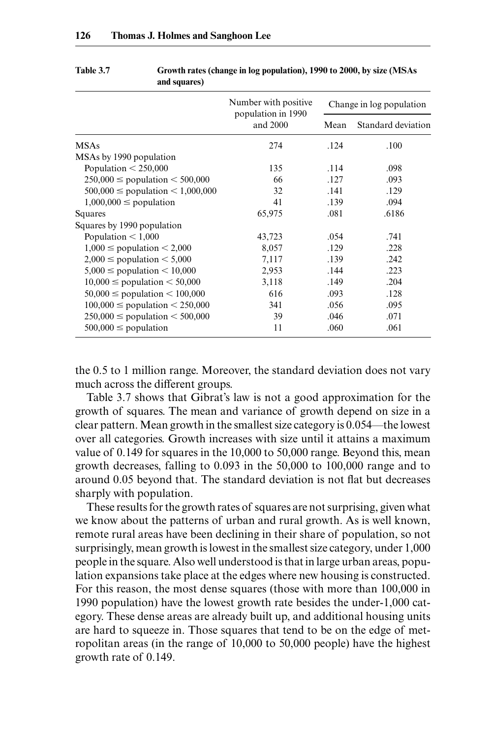|                                        | Number with positive<br>population in 1990 |      | Change in log population |
|----------------------------------------|--------------------------------------------|------|--------------------------|
|                                        | and 2000                                   | Mean | Standard deviation       |
| <b>MSAs</b>                            | 274                                        | .124 | .100                     |
| MSAs by 1990 population                |                                            |      |                          |
| Population $<$ 250,000                 | 135                                        | .114 | .098                     |
| $250,000 \le$ population $< 500,000$   | 66                                         | .127 | .093                     |
| $500,000 \le$ population $< 1,000,000$ | 32                                         | .141 | .129                     |
| $1,000,000 \leq$ population            | 41                                         | .139 | .094                     |
| Squares                                | 65,975                                     | .081 | .6186                    |
| Squares by 1990 population             |                                            |      |                          |
| Population $\leq 1,000$                | 43,723                                     | .054 | .741                     |
| $1,000 \leq$ population $\leq 2,000$   | 8,057                                      | .129 | .228                     |
| $2,000 \leq$ population $< 5,000$      | 7,117                                      | .139 | .242                     |
| $5,000 \leq$ population $\leq 10,000$  | 2,953                                      | .144 | .223                     |
| $10,000 \leq$ population $< 50,000$    | 3,118                                      | .149 | .204                     |
| $50,000 \le$ population $< 100,000$    | 616                                        | .093 | .128                     |
| $100,000 \le$ population $< 250,000$   | 341                                        | .056 | .095                     |
| $250,000 \le$ population $< 500,000$   | 39                                         | .046 | .071                     |
| $500,000 \leq$ population              | 11                                         | .060 | .061                     |

**Table 3.7 Growth rates (change in log population), 1990 to 2000, by size (MSAs and squares)**

the 0.5 to 1 million range. Moreover, the standard deviation does not vary much across the different groups.

Table 3.7 shows that Gibrat's law is not a good approximation for the growth of squares. The mean and variance of growth depend on size in a clear pattern. Mean growth in the smallest size category is 0.054—the lowest over all categories. Growth increases with size until it attains a maximum value of 0.149 for squares in the 10,000 to 50,000 range. Beyond this, mean growth decreases, falling to 0.093 in the 50,000 to 100,000 range and to around 0.05 beyond that. The standard deviation is not flat but decreases sharply with population.

These results for the growth rates of squares are not surprising, given what we know about the patterns of urban and rural growth. As is well known, remote rural areas have been declining in their share of population, so not surprisingly, mean growth is lowest in the smallest size category, under 1,000 people in the square. Also well understood is that in large urban areas, population expansions take place at the edges where new housing is constructed. For this reason, the most dense squares (those with more than 100,000 in 1990 population) have the lowest growth rate besides the under- 1,000 category. These dense areas are already built up, and additional housing units are hard to squeeze in. Those squares that tend to be on the edge of metropolitan areas (in the range of 10,000 to 50,000 people) have the highest growth rate of 0.149.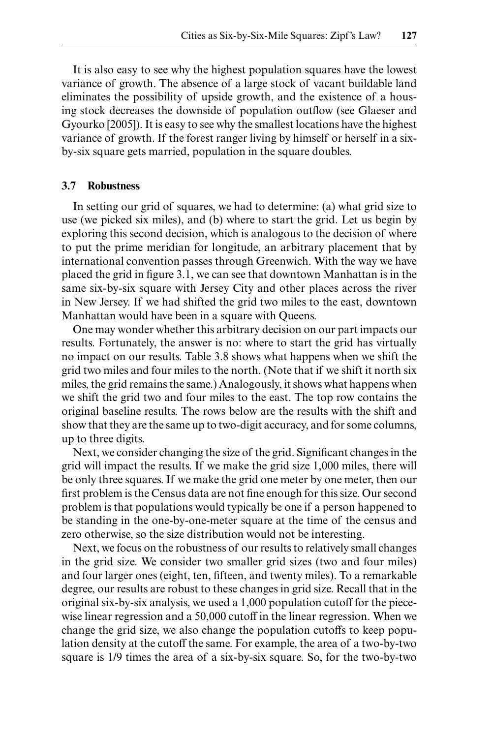It is also easy to see why the highest population squares have the lowest variance of growth. The absence of a large stock of vacant buildable land eliminates the possibility of upside growth, and the existence of a housing stock decreases the downside of population outflow (see Glaeser and Gyourko [2005]). It is easy to see why the smallest locations have the highest variance of growth. If the forest ranger living by himself or herself in a six by- six square gets married, population in the square doubles.

### **3.7 Robustness**

In setting our grid of squares, we had to determine: (a) what grid size to use (we picked six miles), and (b) where to start the grid. Let us begin by exploring this second decision, which is analogous to the decision of where to put the prime meridian for longitude, an arbitrary placement that by international convention passes through Greenwich. With the way we have placed the grid in figure 3.1, we can see that downtown Manhattan is in the same six-by-six square with Jersey City and other places across the river in New Jersey. If we had shifted the grid two miles to the east, downtown Manhattan would have been in a square with Queens.

One may wonder whether this arbitrary decision on our part impacts our results. Fortunately, the answer is no: where to start the grid has virtually no impact on our results. Table 3.8 shows what happens when we shift the grid two miles and four miles to the north. (Note that if we shift it north six miles, the grid remains the same.) Analogously, it shows what happens when we shift the grid two and four miles to the east. The top row contains the original baseline results. The rows below are the results with the shift and show that they are the same up to two- digit accuracy, and for some columns, up to three digits.

Next, we consider changing the size of the grid. Significant changes in the grid will impact the results. If we make the grid size 1,000 miles, there will be only three squares. If we make the grid one meter by one meter, then our first problem is the Census data are not fine enough for this size. Our second problem is that populations would typically be one if a person happened to be standing in the one-by-one-meter square at the time of the census and zero otherwise, so the size distribution would not be interesting.

Next, we focus on the robustness of our results to relatively small changes in the grid size. We consider two smaller grid sizes (two and four miles) and four larger ones (eight, ten, fifteen, and twenty miles). To a remarkable degree, our results are robust to these changes in grid size. Recall that in the original six- by- six analysis, we used a 1,000 population cutoff for the piecewise linear regression and a 50,000 cutoff in the linear regression. When we change the grid size, we also change the population cutoffs to keep population density at the cutoff the same. For example, the area of a two-by-two square is 1/9 times the area of a six-by-six square. So, for the two-by-two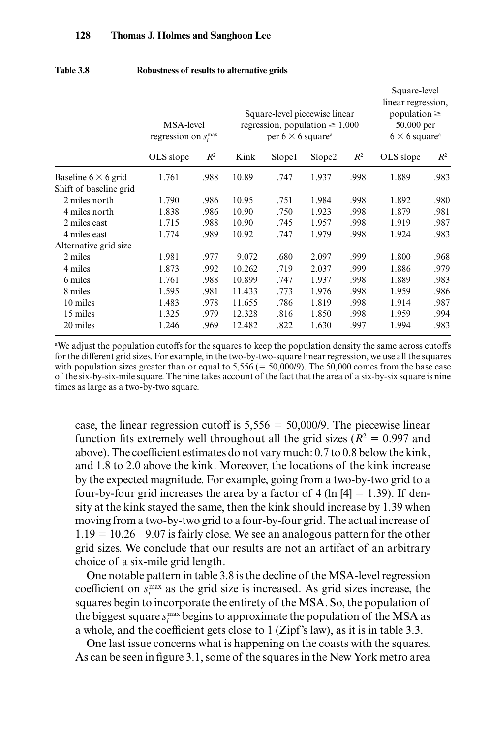|                                                      | MSA-level<br>regression on $s_i^{\max}$ |       | Square-level piecewise linear<br>regression, population $\geq 1,000$<br>per $6 \times 6$ square <sup>a</sup> |        |                    |       | Square-level<br>linear regression,<br>population $\geq$<br>$50,000$ per<br>$6 \times 6$ square <sup>a</sup> |       |
|------------------------------------------------------|-----------------------------------------|-------|--------------------------------------------------------------------------------------------------------------|--------|--------------------|-------|-------------------------------------------------------------------------------------------------------------|-------|
|                                                      | OLS slope                               | $R^2$ | Kink                                                                                                         | Slope1 | Slope <sub>2</sub> | $R^2$ | OLS slope                                                                                                   | $R^2$ |
| Baseline $6 \times 6$ grid<br>Shift of baseline grid | 1.761                                   | .988  | 10.89                                                                                                        | .747   | 1.937              | .998  | 1.889                                                                                                       | .983  |
| 2 miles north                                        | 1.790                                   | .986  | 10.95                                                                                                        | .751   | 1.984              | .998  | 1.892                                                                                                       | .980  |
| 4 miles north                                        | 1.838                                   | .986  | 10.90                                                                                                        | .750   | 1.923              | .998  | 1.879                                                                                                       | .981  |
| 2 miles east                                         | 1.715                                   | .988  | 10.90                                                                                                        | .745   | 1.957              | .998  | 1.919                                                                                                       | .987  |
| 4 miles east                                         | 1.774                                   | .989  | 10.92                                                                                                        | .747   | 1.979              | .998  | 1.924                                                                                                       | .983  |
| Alternative grid size                                |                                         |       |                                                                                                              |        |                    |       |                                                                                                             |       |
| 2 miles                                              | 1.981                                   | .977  | 9.072                                                                                                        | .680   | 2.097              | .999  | 1.800                                                                                                       | .968  |
| 4 miles                                              | 1.873                                   | .992  | 10.262                                                                                                       | .719   | 2.037              | .999  | 1.886                                                                                                       | .979  |
| 6 miles                                              | 1.761                                   | .988  | 10.899                                                                                                       | .747   | 1.937              | .998  | 1.889                                                                                                       | .983  |
| 8 miles                                              | 1.595                                   | .981  | 11.433                                                                                                       | .773   | 1.976              | .998  | 1.959                                                                                                       | .986  |
| 10 miles                                             | 1.483                                   | .978  | 11.655                                                                                                       | .786   | 1.819              | .998  | 1.914                                                                                                       | .987  |
| 15 miles                                             | 1.325                                   | .979  | 12.328                                                                                                       | .816   | 1.850              | .998  | 1.959                                                                                                       | .994  |
| 20 miles                                             | 1.246                                   | .969  | 12.482                                                                                                       | .822   | 1.630              | .997  | 1.994                                                                                                       | .983  |

#### **Table 3.8 Robustness of results to alternative grids**

<sup>a</sup>We adjust the population cutoffs for the squares to keep the population density the same across cutoffs for the different grid sizes. For example, in the two-by-two-square linear regression, we use all the squares with population sizes greater than or equal to  $5,556 (= 50,000/9)$ . The  $50,000$  comes from the base case of the six- by- six- mile square. The nine takes account of the fact that the area of a six- by- six square is nine times as large as a two-by-two square.

case, the linear regression cutoff is  $5,556 = 50,000/9$ . The piecewise linear function fits extremely well throughout all the grid sizes ( $R^2 = 0.997$  and above). The coefficient estimates do not vary much: 0.7 to 0.8 below the kink, and 1.8 to 2.0 above the kink. Moreover, the locations of the kink increase by the expected magnitude. For example, going from a two-by-two grid to a four-by-four grid increases the area by a factor of  $4 \times (ln [4] = 1.39)$ . If density at the kink stayed the same, then the kink should increase by 1.39 when moving from a two-by-two grid to a four-by-four grid. The actual increase of  $1.19 = 10.26 - 9.07$  is fairly close. We see an analogous pattern for the other grid sizes. We conclude that our results are not an artifact of an arbitrary choice of a six- mile grid length.

One notable pattern in table 3.8 is the decline of the MSA- level regression coefficient on  $s_i^{\text{max}}$  as the grid size is increased. As grid sizes increase, the squares begin to incorporate the entirety of the MSA. So, the population of the biggest square  $s_i^{\text{max}}$  begins to approximate the population of the MSA as a whole, and the coefficient gets close to 1 (Zipf's law), as it is in table 3.3.

One last issue concerns what is happening on the coasts with the squares. As can be seen in figure 3.1, some of the squares in the New York metro area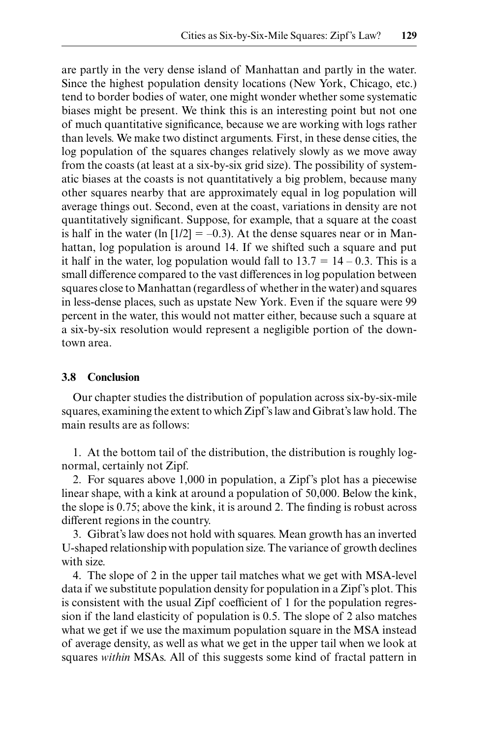are partly in the very dense island of Manhattan and partly in the water. Since the highest population density locations (New York, Chicago, etc.) tend to border bodies of water, one might wonder whether some systematic biases might be present. We think this is an interesting point but not one of much quantitative significance, because we are working with logs rather than levels. We make two distinct arguments. First, in these dense cities, the log population of the squares changes relatively slowly as we move away from the coasts (at least at a six-by-six grid size). The possibility of systematic biases at the coasts is not quantitatively a big problem, because many other squares nearby that are approximately equal in log population will average things out. Second, even at the coast, variations in density are not quantitatively significant. Suppose, for example, that a square at the coast is half in the water (ln  $[1/2] = -0.3$ ). At the dense squares near or in Manhattan, log population is around 14. If we shifted such a square and put it half in the water, log population would fall to  $13.7 = 14 - 0.3$ . This is a small difference compared to the vast differences in log population between squares close to Manhattan (regardless of whether in the water) and squares in less- dense places, such as upstate New York. Even if the square were 99 percent in the water, this would not matter either, because such a square at a six- by- six resolution would represent a negligible portion of the downtown area.

#### **3.8 Conclusion**

Our chapter studies the distribution of population across six-by-six-mile squares, examining the extent to which Zipf's law and Gibrat's law hold. The main results are as follows:

1. At the bottom tail of the distribution, the distribution is roughly lognormal, certainly not Zipf.

2. For squares above 1,000 in population, a Zipf's plot has a piecewise linear shape, with a kink at around a population of 50,000. Below the kink, the slope is  $0.75$ ; above the kink, it is around 2. The finding is robust across different regions in the country.

3. Gibrat's law does not hold with squares. Mean growth has an inverted U- shaped relationship with population size. The variance of growth declines with size.

4. The slope of 2 in the upper tail matches what we get with MSA- level data if we substitute population density for population in a Zipf's plot. This is consistent with the usual Zipf coefficient of 1 for the population regression if the land elasticity of population is 0.5. The slope of 2 also matches what we get if we use the maximum population square in the MSA instead of average density, as well as what we get in the upper tail when we look at squares *within* MSAs. All of this suggests some kind of fractal pattern in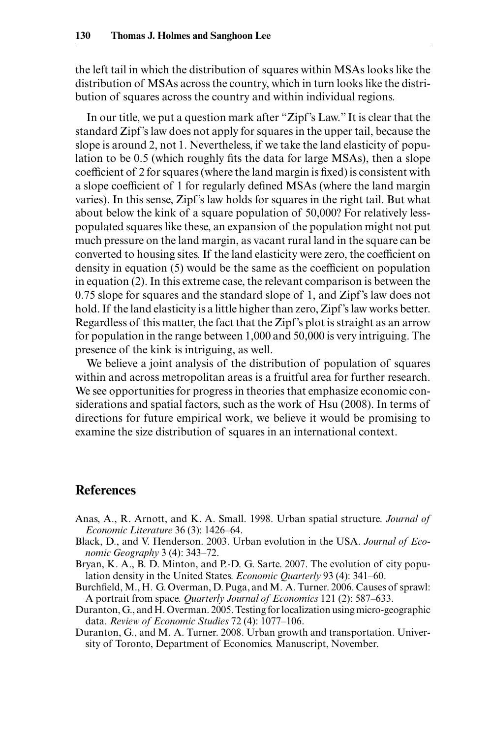the left tail in which the distribution of squares within MSAs looks like the distribution of MSAs across the country, which in turn looks like the distribution of squares across the country and within individual regions.

In our title, we put a question mark after "Zipf's Law." It is clear that the standard Zipf's law does not apply for squares in the upper tail, because the slope is around 2, not 1. Nevertheless, if we take the land elasticity of population to be 0.5 (which roughly fits the data for large MSAs), then a slope coefficient of 2 for squares (where the land margin is fixed) is consistent with a slope coefficient of 1 for regularly defined MSAs (where the land margin varies). In this sense, Zipf's law holds for squares in the right tail. But what about below the kink of a square population of 50,000? For relatively less populated squares like these, an expansion of the population might not put much pressure on the land margin, as vacant rural land in the square can be converted to housing sites. If the land elasticity were zero, the coefficient on density in equation (5) would be the same as the coefficient on population in equation (2). In this extreme case, the relevant comparison is between the 0.75 slope for squares and the standard slope of 1, and Zipf's law does not hold. If the land elasticity is a little higher than zero, Zipf's law works better. Regardless of this matter, the fact that the Zipf's plot is straight as an arrow for population in the range between 1,000 and 50,000 is very intriguing. The presence of the kink is intriguing, as well.

We believe a joint analysis of the distribution of population of squares within and across metropolitan areas is a fruitful area for further research. We see opportunities for progress in theories that emphasize economic considerations and spatial factors, such as the work of Hsu (2008). In terms of directions for future empirical work, we believe it would be promising to examine the size distribution of squares in an international context.

## **References**

- Anas, A., R. Arnott, and K. A. Small. 1998. Urban spatial structure. *Journal of Economic Literature* 36 (3): 1426–64.
- Black, D., and V. Henderson. 2003. Urban evolution in the USA. *Journal of Economic Geography* 3 (4): 343-72.
- Bryan, K. A., B. D. Minton, and P.-D. G. Sarte. 2007. The evolution of city population density in the United States. *Economic Quarterly* 93 (4): 341–60.
- Burchfield, M., H. G. Overman, D. Puga, and M. A. Turner. 2006. Causes of sprawl: A portrait from space. *Quarterly Journal of Economics* 121 (2): 587–633.
- Duranton, G., and H. Overman. 2005. Testing for localization using micro- geographic data. *Review of Economic Studies* 72 (4): 1077– 106.
- Duranton, G., and M. A. Turner. 2008. Urban growth and transportation. University of Toronto, Department of Economics. Manuscript, November.